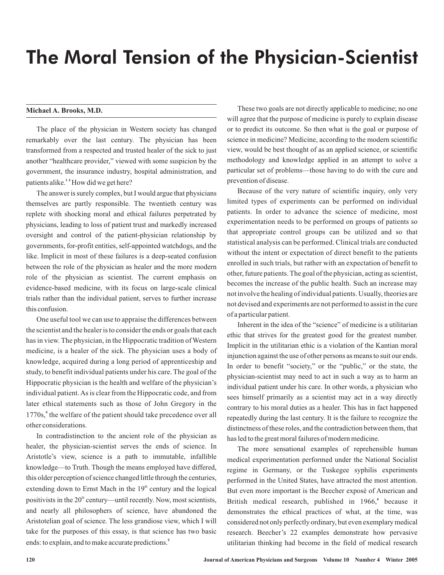## The Moral Tension of the Physician-Scientist

The place of the physician in Western society has changed remarkably over the last century. The physician has been transformed from a respected and trusted healer of the sick to just another "healthcare provider," viewed with some suspicion by the government, the insurance industry, hospital administration, and patients alike.<sup>13</sup> How did we get here?

The answer is surely complex, but I would argue that physicians themselves are partly responsible. The twentieth century was replete with shocking moral and ethical failures perpetrated by physicians, leading to loss of patient trust and markedly increased oversight and control of the patient-physician relationship by governments, for-profit entities, self-appointed watchdogs, and the like. Implicit in most of these failures is a deep-seated confusion between the role of the physician as healer and the more modern role of the physician as scientist. The current emphasis on evidence-based medicine, with its focus on large-scale clinical trials rather than the individual patient, serves to further increase this confusion.

One useful tool we can use to appraise the differences between the scientist and the healer is to consider the ends or goals that each has in view. The physician, in the Hippocratic tradition of Western medicine, is a healer of the sick. The physician uses a body of knowledge, acquired during a long period of apprenticeship and study, to benefit individual patients under his care. The goal of the Hippocratic physician is the health and welfare of the physician's individual patient.As is clear from the Hippocratic code, and from later ethical statements such as those of John Gregory in the 1770s,<sup>4</sup> the welfare of the patient should take precedence over all other considerations.

In contradistinction to the ancient role of the physician as healer, the physician-scientist serves the ends of science. In Aristotle's view, science is a path to immutable, infallible knowledge—to Truth. Though the means employed have differed, this older perception of science changed little through the centuries, extending down to Ernst Mach in the  $19<sup>th</sup>$  century and the logical positivists in the  $20<sup>th</sup>$  century—until recently. Now, most scientists, and nearly all philosophers of science, have abandoned the Aristotelian goal of science. The less grandiose view, which I will take for the purposes of this essay, is that science has two basic ends: to explain, and to make accurate predictions. **5**

**Michael A. Brooks, M.D.** These two goals are not directly applicable to medicine; no one will agree that the purpose of medicine is purely to explain disease or to predict its outcome. So then what is the goal or purpose of science in medicine? Medicine, according to the modern scientific view, would be best thought of as an applied science, or scientific methodology and knowledge applied in an attempt to solve a particular set of problems—those having to do with the cure and prevention of disease.

> Because of the very nature of scientific inquiry, only very limited types of experiments can be performed on individual patients. In order to advance the science of medicine, most experimentation needs to be performed on groups of patients so that appropriate control groups can be utilized and so that statistical analysis can be performed. Clinical trials are conducted without the intent or expectation of direct benefit to the patients enrolled in such trials, but rather with an expectation of benefit to other, future patients. The goal of the physician, acting as scientist, becomes the increase of the public health. Such an increase may not involve the healing of individual patients. Usually, theories are not devised and experiments are not performed to assist in the cure of a particular patient.

> Inherent in the idea of the "science" of medicine is a utilitarian ethic that strives for the greatest good for the greatest number. Implicit in the utilitarian ethic is a violation of the Kantian moral injunction against the use of other persons as means to suit our ends. In order to benefit "society," or the "public," or the state, the physician-scientist may need to act in such a way as to harm an individual patient under his care. In other words, a physician who sees himself primarily as a scientist may act in a way directly contrary to his moral duties as a healer. This has in fact happened repeatedly during the last century. It is the failure to recognize the distinctness of these roles, and the contradiction between them, that has led to the great moral failures of modern medicine.

> The more sensational examples of reprehensible human medical experimentation performed under the National Socialist regime in Germany, or the Tuskegee syphilis experiments performed in the United States, have attracted the most attention. But even more important is the Beecher exposé of American and British medical research, published in 1966,<sup>6</sup> because it demonstrates the ethical practices of what, at the time, was considered not only perfectly ordinary, but even exemplary medical research. Beecher's 22 examples demonstrate how pervasive utilitarian thinking had become in the field of medical research